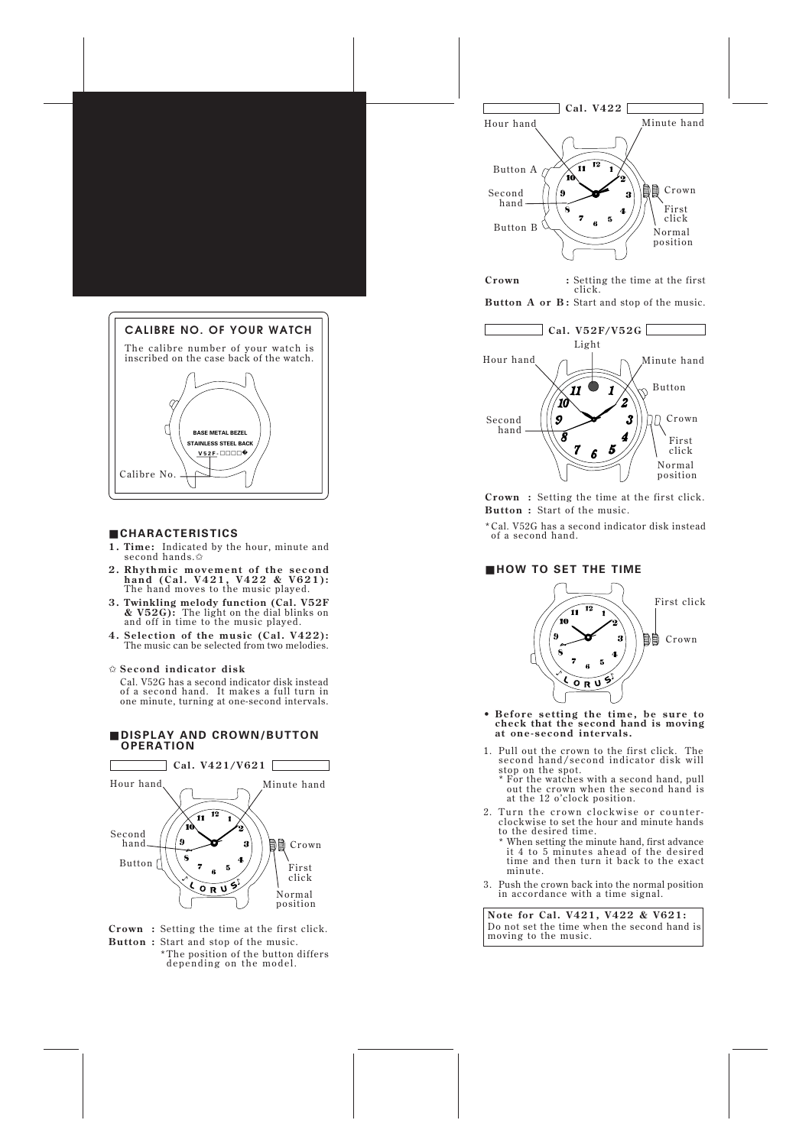

# ■ **CHARACTERISTICS**

- **1. Time:** Indicated by the hour, minute and second hands.✩
- **2. Rhythmic movement of the second hand (Cal. V421, V422 & V621):** The hand moves to the music played.
- **3. Twinkling melody function (Cal. V52F & V52G):** The light on the dial blinks on and off in time to the music played.
- **4. Selection of the music (Cal. V422):** The music can be selected from two melodies.

✩ **Second indicator disk**

Cal. V52G has a second indicator disk instead of a second hand. It makes a full turn in one minute, turning at one-second intervals.

# ■ **DISPLAY AND CROWN/BUTTON OPERATION**



**Crown :** Setting the time at the first click. **Button :** Start and stop of the music.

\*The position of the button differs depending on the model.



**Crown :** Setting the time at the first click.





**Crown :** Setting the time at the first click. **Button :** Start of the music.

\*Cal. V52G has a second indicator disk instead of a second hand.

# ■ **HOW TO SET THE TIME**



- **Before setting the time, be sure to check that the second hand is moving at one-second intervals.**
- 1. Pull out the crown to the first click. The second hand/second indicator disk will stop on the spot.
	- \* For the watches with a second hand, pull out the crown when the second hand is at the 12 o'clock position.
- 2. Turn the crown clockwise or counterclockwise to set the hour and minute hands to the desired time.
	- \* When setting the minute hand, first advance it 4 to 5 minutes ahead of the desired time and then turn it back to the exact minute.
- 3. Push the crown back into the normal position in accordance with a time signal.

**Note for Cal. V421, V422 & V621:** Do not set the time when the second hand is moving to the music.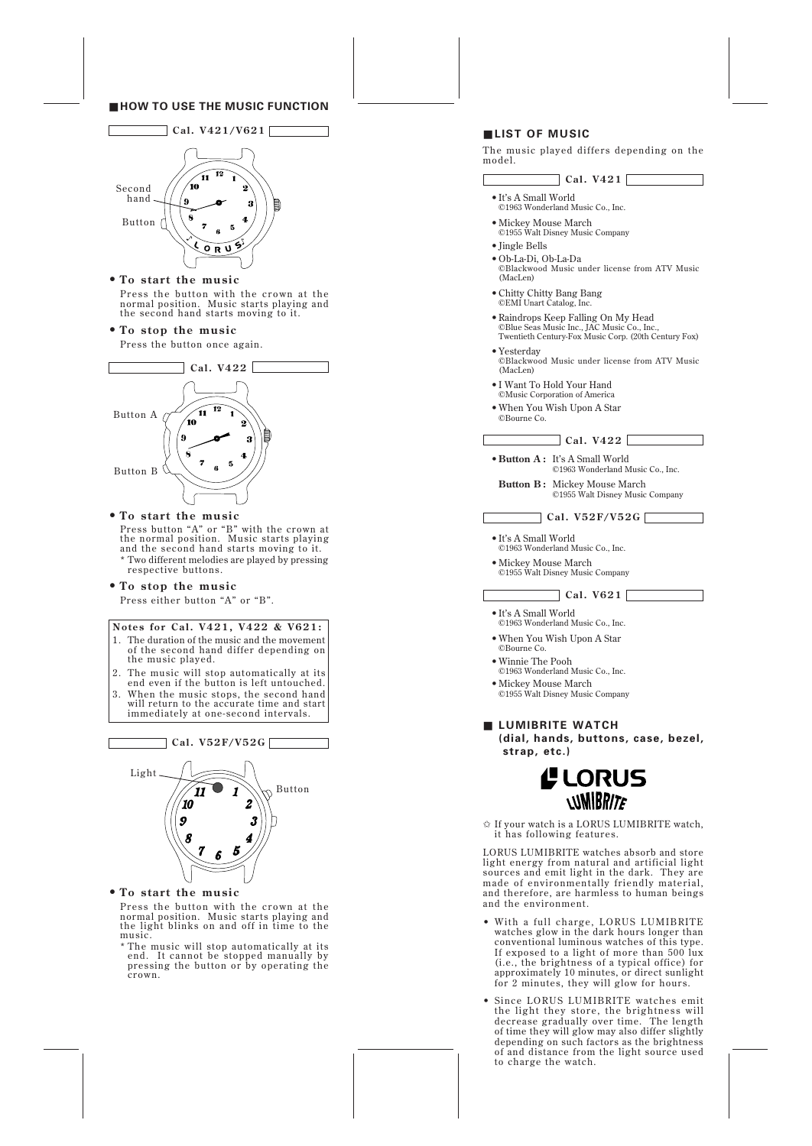## ■ **HOW TO USE THE MUSIC FUNCTION**



# **• To start the music**

Press the button with the crown at the normal position. Music starts playing and the second hand starts moving to it.

## **• To stop the music**

Press the button once again.



# **• To start the music**

Press button "A" or "B" with the crown at the normal position. Music starts playing and the second hand starts moving to it. \* Two different melodies are played by pressing respective buttons.

# **• To stop the music**

Press either button "A" or "B".

## **Notes for Cal. V421, V422 & V621:**

- 1. The duration of the music and the movement of the second hand differ depending on the music played.
- 2. The music will stop automatically at its end even if the button is left untouched.
- 3. When the music stops, the second hand will return to the accurate time and start immediately at one-second intervals.



## **• To start the music**

Press the button with the crown at the normal position. Music starts playing and the light blinks on and off in time to the music.

\* The music will stop automatically at its end. It cannot be stopped manually by pressing the button or by operating the crown.

# ■ **LIST OF MUSIC**

The music played differs depending on the model.

# **Cal. V421**

- •It's A Small World ©1963 Wonderland Music Co., Inc.
- •Mickey Mouse March ©1955 Walt Disney Music Company
- •Jingle Bells
- •Ob-La-Di, Ob-La-Da ©Blackwood Music under license from ATV Music (MacLen)
- •Chitty Chitty Bang Bang ©EMI Unart Catalog, Inc.
- •Raindrops Keep Falling On My Head ©Blue Seas Music Inc., JAC Music Co., Inc., Twentieth Century-Fox Music Corp. (20th Century Fox)
- •Yesterday ©Blackwood Music under license from ATV Music (MacLen)
- •I Want To Hold Your Hand ©Music Corporation of America
- •When You Wish Upon A Star ©Bourne Co.

**Cal. V422**

- •**Button A :** It's A Small World ©1963 Wonderland Music Co., Inc.
- **Button B :** Mickey Mouse March ©1955 Walt Disney Music Company

**Cal. V52F/V52G**

- •It's A Small World ©1963 Wonderland Music Co., Inc.
- •Mickey Mouse March ©1955 Walt Disney Music Company

**Cal. V621**

- •It's A Small World ©1963 Wonderland Music Co., Inc.
- •When You Wish Upon A Star ©Bourne Co.
- •Winnie The Pooh ©1963 Wonderland Music Co., Inc.
- •Mickey Mouse March ©1955 Walt Disney Music Company
- **LUMIBRITE WATCH**
	- **(dial, hands, buttons, case, bezel, strap, etc.)**



✩ If your watch is a LORUS LUMIBRITE watch, it has following features.

LORUS LUMIBRITE watches absorb and store light energy from natural and artificial light sources and emit light in the dark. They are made of environmentally friendly material, and therefore, are harmless to human beings and the environment.

- With a full charge, LORUS LUMIBRITE watches glow in the dark hours longer than conventional luminous watches of this type. If exposed to a light of more than 500 lux (i.e., the brightness of a typical office) for approximately 10 minutes, or direct sunlight for 2 minutes, they will glow for hours.
- Since LORUS LUMIBRITE watches emit the light they store, the brightness will decrease gradually over time. The length of time they will glow may also differ slightly depending on such factors as the brightness of and distance from the light source used